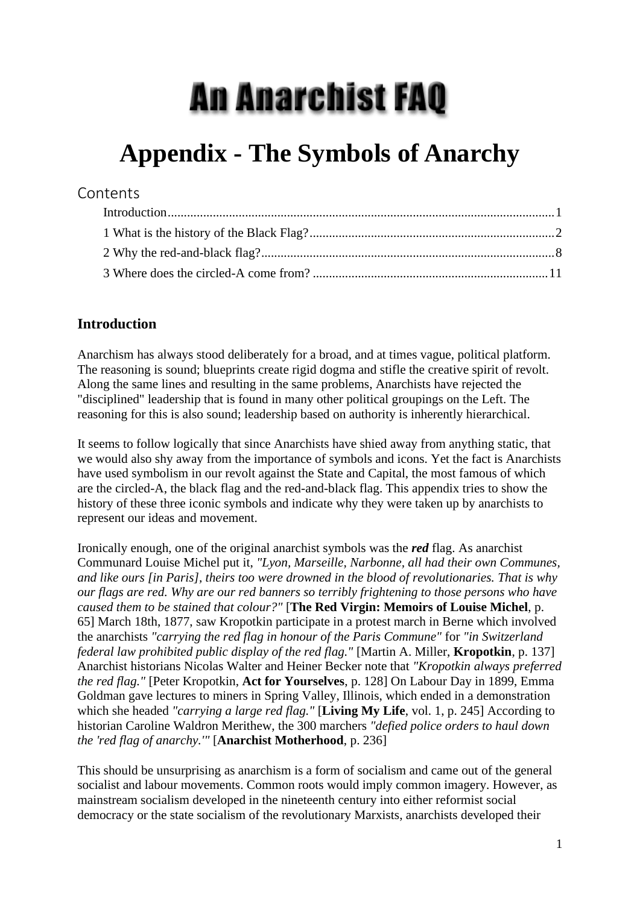# An Anarchist FAQ

# **Appendix - The Symbols of Anarchy**

# Contents

## <span id="page-0-0"></span>**Introduction**

Anarchism has always stood deliberately for a broad, and at times vague, political platform. The reasoning is sound; blueprints create rigid dogma and stifle the creative spirit of revolt. Along the same lines and resulting in the same problems, Anarchists have rejected the "disciplined" leadership that is found in many other political groupings on the Left. The reasoning for this is also sound; leadership based on authority is inherently hierarchical.

It seems to follow logically that since Anarchists have shied away from anything static, that we would also shy away from the importance of symbols and icons. Yet the fact is Anarchists have used symbolism in our revolt against the State and Capital, the most famous of which are the circled-A, the black flag and the red-and-black flag. This appendix tries to show the history of these three iconic symbols and indicate why they were taken up by anarchists to represent our ideas and movement.

Ironically enough, one of the original anarchist symbols was the *red* flag. As anarchist Communard Louise Michel put it, *"Lyon, Marseille, Narbonne, all had their own Communes, and like ours [in Paris], theirs too were drowned in the blood of revolutionaries. That is why our flags are red. Why are our red banners so terribly frightening to those persons who have caused them to be stained that colour?"* [**The Red Virgin: Memoirs of Louise Michel**, p. 65] March 18th, 1877, saw Kropotkin participate in a protest march in Berne which involved the anarchists *"carrying the red flag in honour of the Paris Commune"* for *"in Switzerland federal law prohibited public display of the red flag."* [Martin A. Miller, **Kropotkin**, p. 137] Anarchist historians Nicolas Walter and Heiner Becker note that *"Kropotkin always preferred the red flag."* [Peter Kropotkin, **Act for Yourselves**, p. 128] On Labour Day in 1899, Emma Goldman gave lectures to miners in Spring Valley, Illinois, which ended in a demonstration which she headed *"carrying a large red flag."* [**Living My Life**, vol. 1, p. 245] According to historian Caroline Waldron Merithew, the 300 marchers *"defied police orders to haul down the 'red flag of anarchy.'"* [**Anarchist Motherhood**, p. 236]

This should be unsurprising as anarchism is a form of socialism and came out of the general socialist and labour movements. Common roots would imply common imagery. However, as mainstream socialism developed in the nineteenth century into either reformist social democracy or the state socialism of the revolutionary Marxists, anarchists developed their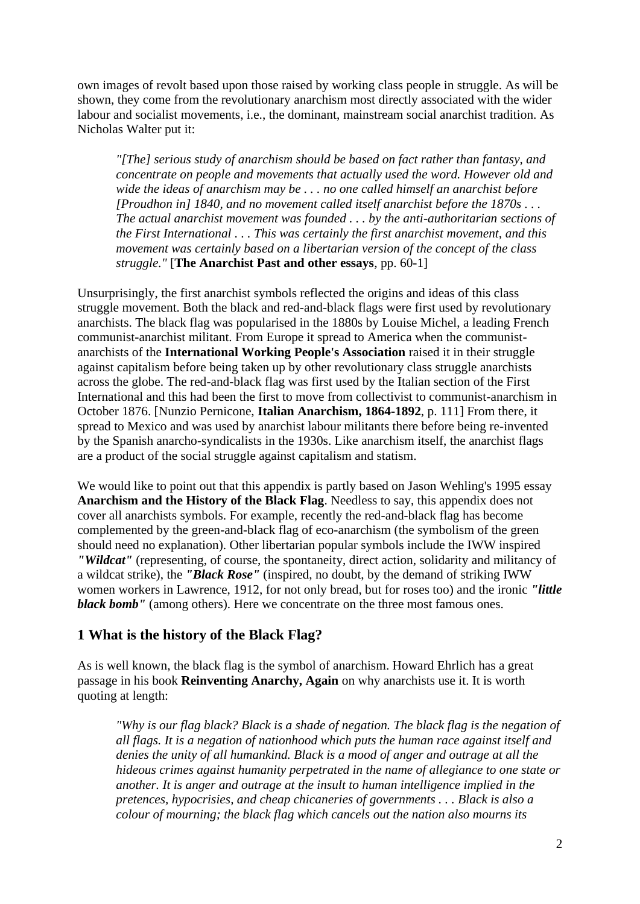own images of revolt based upon those raised by working class people in struggle. As will be shown, they come from the revolutionary anarchism most directly associated with the wider labour and socialist movements, i.e., the dominant, mainstream social anarchist tradition. As Nicholas Walter put it:

*"[The] serious study of anarchism should be based on fact rather than fantasy, and concentrate on people and movements that actually used the word. However old and wide the ideas of anarchism may be . . . no one called himself an anarchist before [Proudhon in] 1840, and no movement called itself anarchist before the 1870s . . . The actual anarchist movement was founded . . . by the anti-authoritarian sections of the First International . . . This was certainly the first anarchist movement, and this movement was certainly based on a libertarian version of the concept of the class struggle."* [**The Anarchist Past and other essays**, pp. 60-1]

Unsurprisingly, the first anarchist symbols reflected the origins and ideas of this class struggle movement. Both the black and red-and-black flags were first used by revolutionary anarchists. The black flag was popularised in the 1880s by Louise Michel, a leading French communist-anarchist militant. From Europe it spread to America when the communistanarchists of the **International Working People's Association** raised it in their struggle against capitalism before being taken up by other revolutionary class struggle anarchists across the globe. The red-and-black flag was first used by the Italian section of the First International and this had been the first to move from collectivist to communist-anarchism in October 1876. [Nunzio Pernicone, **Italian Anarchism, 1864-1892**, p. 111] From there, it spread to Mexico and was used by anarchist labour militants there before being re-invented by the Spanish anarcho-syndicalists in the 1930s. Like anarchism itself, the anarchist flags are a product of the social struggle against capitalism and statism.

We would like to point out that this appendix is partly based on Jason Wehling's 1995 essay **Anarchism and the History of the Black Flag**. Needless to say, this appendix does not cover all anarchists symbols. For example, recently the red-and-black flag has become complemented by the green-and-black flag of eco-anarchism (the symbolism of the green should need no explanation). Other libertarian popular symbols include the IWW inspired *"Wildcat"* (representing, of course, the spontaneity, direct action, solidarity and militancy of a wildcat strike), the *"Black Rose"* (inspired, no doubt, by the demand of striking IWW women workers in Lawrence, 1912, for not only bread, but for roses too) and the ironic *"little*  **black bomb**" (among others). Here we concentrate on the three most famous ones.

### <span id="page-1-0"></span>**1 What is the history of the Black Flag?**

As is well known, the black flag is the symbol of anarchism. Howard Ehrlich has a great passage in his book **Reinventing Anarchy, Again** on why anarchists use it. It is worth quoting at length:

*"Why is our flag black? Black is a shade of negation. The black flag is the negation of all flags. It is a negation of nationhood which puts the human race against itself and denies the unity of all humankind. Black is a mood of anger and outrage at all the hideous crimes against humanity perpetrated in the name of allegiance to one state or another. It is anger and outrage at the insult to human intelligence implied in the pretences, hypocrisies, and cheap chicaneries of governments . . . Black is also a colour of mourning; the black flag which cancels out the nation also mourns its*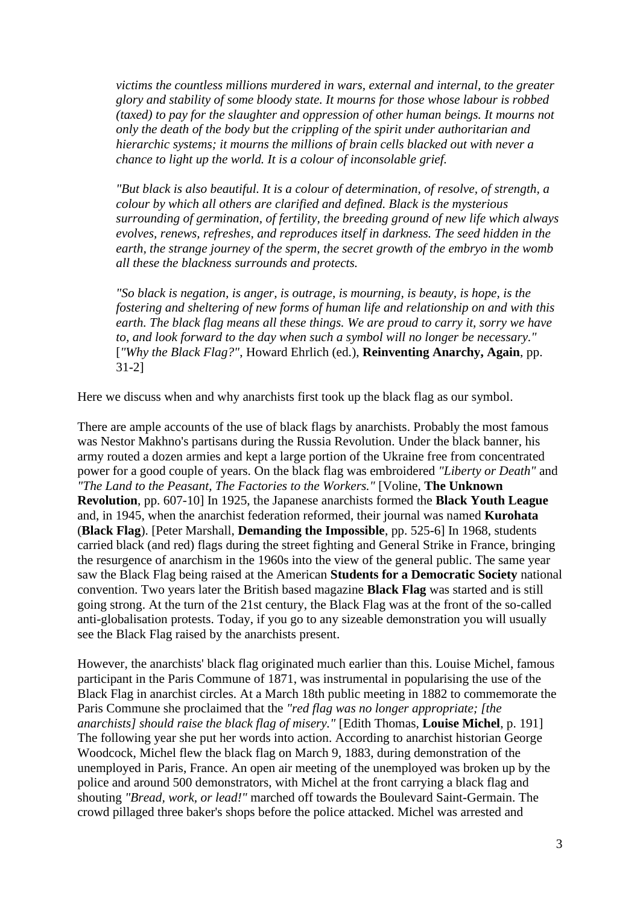*victims the countless millions murdered in wars, external and internal, to the greater glory and stability of some bloody state. It mourns for those whose labour is robbed (taxed) to pay for the slaughter and oppression of other human beings. It mourns not only the death of the body but the crippling of the spirit under authoritarian and hierarchic systems; it mourns the millions of brain cells blacked out with never a chance to light up the world. It is a colour of inconsolable grief.*

*"But black is also beautiful. It is a colour of determination, of resolve, of strength, a colour by which all others are clarified and defined. Black is the mysterious surrounding of germination, of fertility, the breeding ground of new life which always evolves, renews, refreshes, and reproduces itself in darkness. The seed hidden in the earth, the strange journey of the sperm, the secret growth of the embryo in the womb all these the blackness surrounds and protects.*

*"So black is negation, is anger, is outrage, is mourning, is beauty, is hope, is the fostering and sheltering of new forms of human life and relationship on and with this earth. The black flag means all these things. We are proud to carry it, sorry we have to, and look forward to the day when such a symbol will no longer be necessary."* [*"Why the Black Flag?"*, Howard Ehrlich (ed.), **Reinventing Anarchy, Again**, pp. 31-2]

Here we discuss when and why anarchists first took up the black flag as our symbol.

There are ample accounts of the use of black flags by anarchists. Probably the most famous was Nestor Makhno's partisans during the Russia Revolution. Under the black banner, his army routed a dozen armies and kept a large portion of the Ukraine free from concentrated power for a good couple of years. On the black flag was embroidered *"Liberty or Death"* and *"The Land to the Peasant, The Factories to the Workers."* [Voline, **The Unknown Revolution**, pp. 607-10] In 1925, the Japanese anarchists formed the **Black Youth League** and, in 1945, when the anarchist federation reformed, their journal was named **Kurohata** (**Black Flag**). [Peter Marshall, **Demanding the Impossible**, pp. 525-6] In 1968, students carried black (and red) flags during the street fighting and General Strike in France, bringing the resurgence of anarchism in the 1960s into the view of the general public. The same year saw the Black Flag being raised at the American **Students for a Democratic Society** national convention. Two years later the British based magazine **Black Flag** was started and is still going strong. At the turn of the 21st century, the Black Flag was at the front of the so-called anti-globalisation protests. Today, if you go to any sizeable demonstration you will usually see the Black Flag raised by the anarchists present.

However, the anarchists' black flag originated much earlier than this. Louise Michel, famous participant in the Paris Commune of 1871, was instrumental in popularising the use of the Black Flag in anarchist circles. At a March 18th public meeting in 1882 to commemorate the Paris Commune she proclaimed that the *"red flag was no longer appropriate; [the anarchists] should raise the black flag of misery."* [Edith Thomas, **Louise Michel**, p. 191] The following year she put her words into action. According to anarchist historian George Woodcock, Michel flew the black flag on March 9, 1883, during demonstration of the unemployed in Paris, France. An open air meeting of the unemployed was broken up by the police and around 500 demonstrators, with Michel at the front carrying a black flag and shouting *"Bread, work, or lead!"* marched off towards the Boulevard Saint-Germain. The crowd pillaged three baker's shops before the police attacked. Michel was arrested and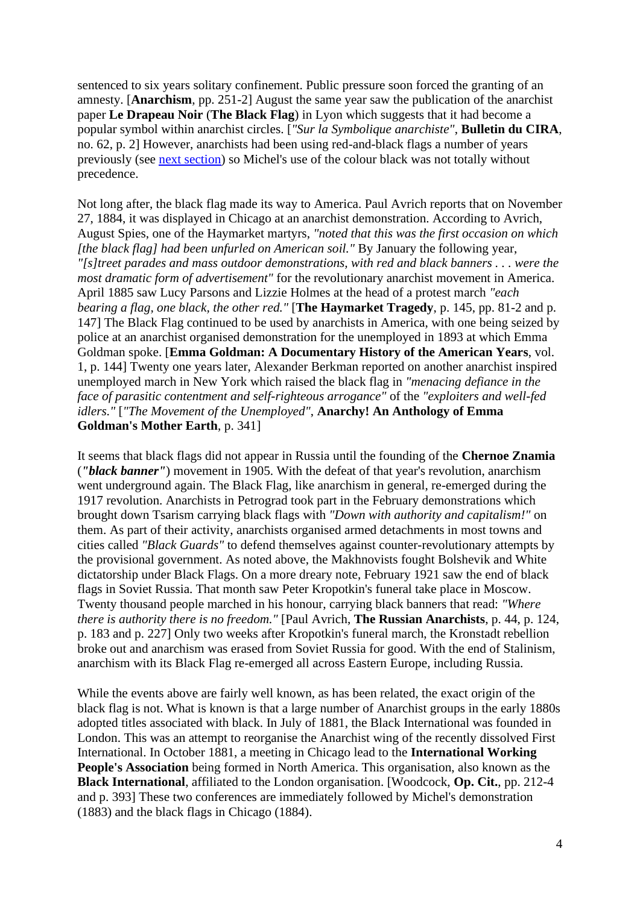sentenced to six years solitary confinement. Public pressure soon forced the granting of an amnesty. [**Anarchism**, pp. 251-2] August the same year saw the publication of the anarchist paper **Le Drapeau Noir** (**The Black Flag**) in Lyon which suggests that it had become a popular symbol within anarchist circles. [*"Sur la Symbolique anarchiste"*, **Bulletin du CIRA**, no. 62, p. 2] However, anarchists had been using red-and-black flags a number of years previously (see [next section\)](append2.html#redblack) so Michel's use of the colour black was not totally without precedence.

Not long after, the black flag made its way to America. Paul Avrich reports that on November 27, 1884, it was displayed in Chicago at an anarchist demonstration. According to Avrich, August Spies, one of the Haymarket martyrs, *"noted that this was the first occasion on which [the black flag] had been unfurled on American soil."* By January the following year, *"[s]treet parades and mass outdoor demonstrations, with red and black banners . . . were the most dramatic form of advertisement"* for the revolutionary anarchist movement in America. April 1885 saw Lucy Parsons and Lizzie Holmes at the head of a protest march *"each bearing a flag, one black, the other red."* [**The Haymarket Tragedy**, p. 145, pp. 81-2 and p. 147] The Black Flag continued to be used by anarchists in America, with one being seized by police at an anarchist organised demonstration for the unemployed in 1893 at which Emma Goldman spoke. [**Emma Goldman: A Documentary History of the American Years**, vol. 1, p. 144] Twenty one years later, Alexander Berkman reported on another anarchist inspired unemployed march in New York which raised the black flag in *"menacing defiance in the face of parasitic contentment and self-righteous arrogance"* of the *"exploiters and well-fed idlers."* [*"The Movement of the Unemployed"*, **Anarchy! An Anthology of Emma Goldman's Mother Earth**, p. 341]

It seems that black flags did not appear in Russia until the founding of the **Chernoe Znamia** (*"black banner"*) movement in 1905. With the defeat of that year's revolution, anarchism went underground again. The Black Flag, like anarchism in general, re-emerged during the 1917 revolution. Anarchists in Petrograd took part in the February demonstrations which brought down Tsarism carrying black flags with *"Down with authority and capitalism!"* on them. As part of their activity, anarchists organised armed detachments in most towns and cities called *"Black Guards"* to defend themselves against counter-revolutionary attempts by the provisional government. As noted above, the Makhnovists fought Bolshevik and White dictatorship under Black Flags. On a more dreary note, February 1921 saw the end of black flags in Soviet Russia. That month saw Peter Kropotkin's funeral take place in Moscow. Twenty thousand people marched in his honour, carrying black banners that read: *"Where there is authority there is no freedom."* [Paul Avrich, **The Russian Anarchists**, p. 44, p. 124, p. 183 and p. 227] Only two weeks after Kropotkin's funeral march, the Kronstadt rebellion broke out and anarchism was erased from Soviet Russia for good. With the end of Stalinism, anarchism with its Black Flag re-emerged all across Eastern Europe, including Russia.

While the events above are fairly well known, as has been related, the exact origin of the black flag is not. What is known is that a large number of Anarchist groups in the early 1880s adopted titles associated with black. In July of 1881, the Black International was founded in London. This was an attempt to reorganise the Anarchist wing of the recently dissolved First International. In October 1881, a meeting in Chicago lead to the **International Working People's Association** being formed in North America. This organisation, also known as the **Black International**, affiliated to the London organisation. [Woodcock, **Op. Cit.**, pp. 212-4 and p. 393] These two conferences are immediately followed by Michel's demonstration (1883) and the black flags in Chicago (1884).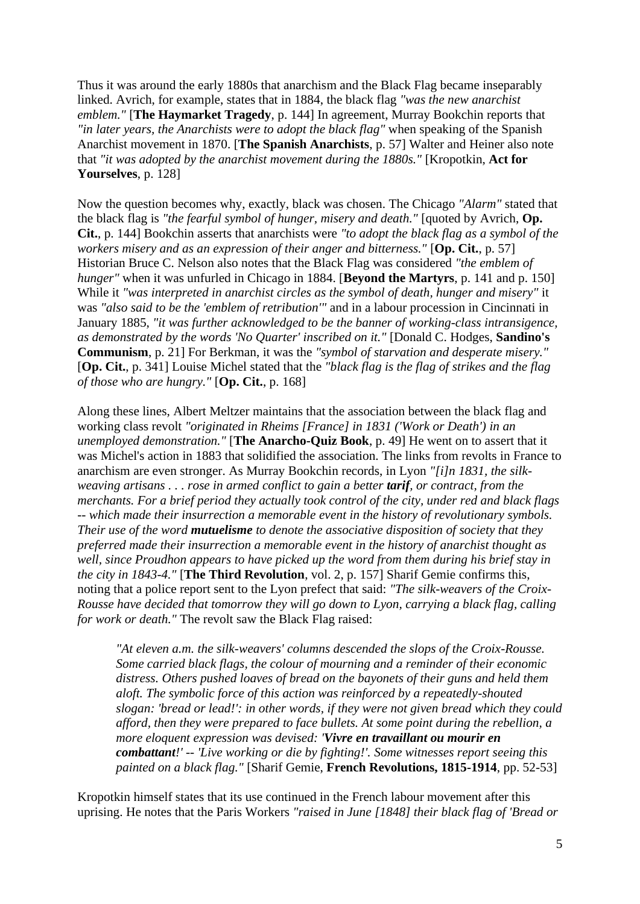Thus it was around the early 1880s that anarchism and the Black Flag became inseparably linked. Avrich, for example, states that in 1884, the black flag *"was the new anarchist emblem."* [**The Haymarket Tragedy**, p. 144] In agreement, Murray Bookchin reports that *"in later years, the Anarchists were to adopt the black flag"* when speaking of the Spanish Anarchist movement in 1870. [**The Spanish Anarchists**, p. 57] Walter and Heiner also note that *"it was adopted by the anarchist movement during the 1880s."* [Kropotkin, **Act for Yourselves**, p. 128]

Now the question becomes why, exactly, black was chosen. The Chicago *"Alarm"* stated that the black flag is *"the fearful symbol of hunger, misery and death."* [quoted by Avrich, **Op. Cit.**, p. 144] Bookchin asserts that anarchists were *"to adopt the black flag as a symbol of the workers misery and as an expression of their anger and bitterness."* [**Op. Cit.**, p. 57] Historian Bruce C. Nelson also notes that the Black Flag was considered *"the emblem of hunger"* when it was unfurled in Chicago in 1884. [**Beyond the Martyrs**, p. 141 and p. 150] While it *"was interpreted in anarchist circles as the symbol of death, hunger and misery"* it was *"also said to be the 'emblem of retribution'"* and in a labour procession in Cincinnati in January 1885, *"it was further acknowledged to be the banner of working-class intransigence, as demonstrated by the words 'No Quarter' inscribed on it."* [Donald C. Hodges, **Sandino's Communism**, p. 21] For Berkman, it was the *"symbol of starvation and desperate misery."* [**Op. Cit.**, p. 341] Louise Michel stated that the *"black flag is the flag of strikes and the flag of those who are hungry."* [**Op. Cit.**, p. 168]

Along these lines, Albert Meltzer maintains that the association between the black flag and working class revolt *"originated in Rheims [France] in 1831 ('Work or Death') in an unemployed demonstration."* [**The Anarcho-Quiz Book**, p. 49] He went on to assert that it was Michel's action in 1883 that solidified the association. The links from revolts in France to anarchism are even stronger. As Murray Bookchin records, in Lyon *"[i]n 1831, the silkweaving artisans . . . rose in armed conflict to gain a better tarif, or contract, from the merchants. For a brief period they actually took control of the city, under red and black flags -- which made their insurrection a memorable event in the history of revolutionary symbols. Their use of the word mutuelisme to denote the associative disposition of society that they preferred made their insurrection a memorable event in the history of anarchist thought as well, since Proudhon appears to have picked up the word from them during his brief stay in the city in 1843-4."* [**The Third Revolution**, vol. 2, p. 157] Sharif Gemie confirms this, noting that a police report sent to the Lyon prefect that said: *"The silk-weavers of the Croix-Rousse have decided that tomorrow they will go down to Lyon, carrying a black flag, calling for work or death."* The revolt saw the Black Flag raised:

*"At eleven a.m. the silk-weavers' columns descended the slops of the Croix-Rousse. Some carried black flags, the colour of mourning and a reminder of their economic distress. Others pushed loaves of bread on the bayonets of their guns and held them aloft. The symbolic force of this action was reinforced by a repeatedly-shouted slogan: 'bread or lead!': in other words, if they were not given bread which they could afford, then they were prepared to face bullets. At some point during the rebellion, a more eloquent expression was devised: 'Vivre en travaillant ou mourir en combattant!' -- 'Live working or die by fighting!'. Some witnesses report seeing this painted on a black flag."* [Sharif Gemie, **French Revolutions, 1815-1914**, pp. 52-53]

Kropotkin himself states that its use continued in the French labour movement after this uprising. He notes that the Paris Workers *"raised in June [1848] their black flag of 'Bread or*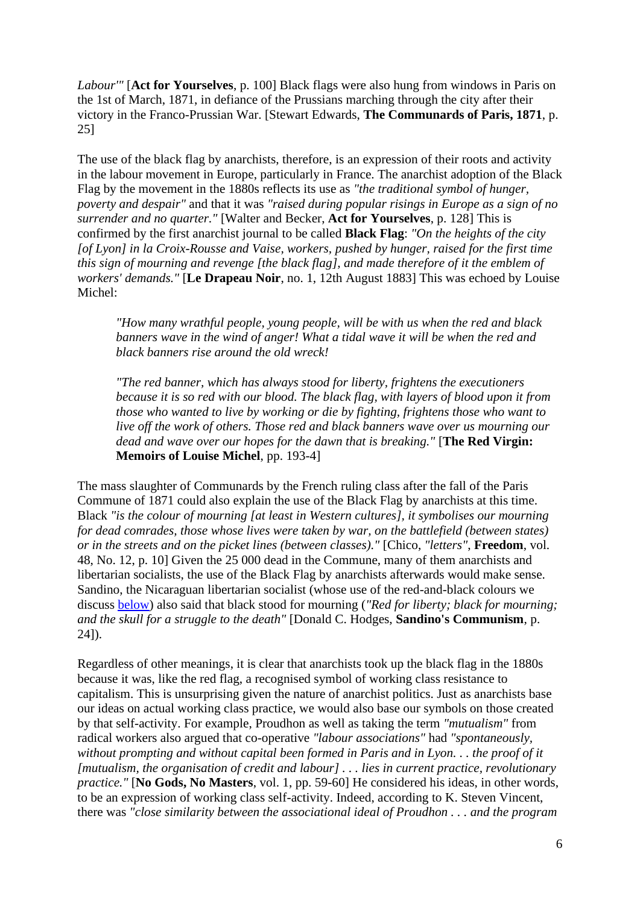*Labour'"* [**Act for Yourselves**, p. 100] Black flags were also hung from windows in Paris on the 1st of March, 1871, in defiance of the Prussians marching through the city after their victory in the Franco-Prussian War. [Stewart Edwards, **The Communards of Paris, 1871**, p. 25]

The use of the black flag by anarchists, therefore, is an expression of their roots and activity in the labour movement in Europe, particularly in France. The anarchist adoption of the Black Flag by the movement in the 1880s reflects its use as *"the traditional symbol of hunger, poverty and despair"* and that it was *"raised during popular risings in Europe as a sign of no surrender and no quarter."* [Walter and Becker, **Act for Yourselves**, p. 128] This is confirmed by the first anarchist journal to be called **Black Flag**: *"On the heights of the city [of Lyon] in la Croix-Rousse and Vaise, workers, pushed by hunger, raised for the first time this sign of mourning and revenge [the black flag], and made therefore of it the emblem of workers' demands."* [**Le Drapeau Noir**, no. 1, 12th August 1883] This was echoed by Louise Michel:

*"How many wrathful people, young people, will be with us when the red and black banners wave in the wind of anger! What a tidal wave it will be when the red and black banners rise around the old wreck!*

*"The red banner, which has always stood for liberty, frightens the executioners because it is so red with our blood. The black flag, with layers of blood upon it from those who wanted to live by working or die by fighting, frightens those who want to live off the work of others. Those red and black banners wave over us mourning our dead and wave over our hopes for the dawn that is breaking."* [**The Red Virgin: Memoirs of Louise Michel**, pp. 193-4]

The mass slaughter of Communards by the French ruling class after the fall of the Paris Commune of 1871 could also explain the use of the Black Flag by anarchists at this time. Black *"is the colour of mourning [at least in Western cultures], it symbolises our mourning for dead comrades, those whose lives were taken by war, on the battlefield (between states) or in the streets and on the picket lines (between classes)."* [Chico, *"letters"*, **Freedom**, vol. 48, No. 12, p. 10] Given the 25 000 dead in the Commune, many of them anarchists and libertarian socialists, the use of the Black Flag by anarchists afterwards would make sense. Sandino, the Nicaraguan libertarian socialist (whose use of the red-and-black colours we discuss [below\)](append2.html#redblack) also said that black stood for mourning (*"Red for liberty; black for mourning; and the skull for a struggle to the death"* [Donald C. Hodges, **Sandino's Communism**, p. 24]).

Regardless of other meanings, it is clear that anarchists took up the black flag in the 1880s because it was, like the red flag, a recognised symbol of working class resistance to capitalism. This is unsurprising given the nature of anarchist politics. Just as anarchists base our ideas on actual working class practice, we would also base our symbols on those created by that self-activity. For example, Proudhon as well as taking the term *"mutualism"* from radical workers also argued that co-operative *"labour associations"* had *"spontaneously, without prompting and without capital been formed in Paris and in Lyon. . . the proof of it [mutualism, the organisation of credit and labour] . . . lies in current practice, revolutionary practice."* [**No Gods, No Masters**, vol. 1, pp. 59-60] He considered his ideas, in other words, to be an expression of working class self-activity. Indeed, according to K. Steven Vincent, there was *"close similarity between the associational ideal of Proudhon . . . and the program*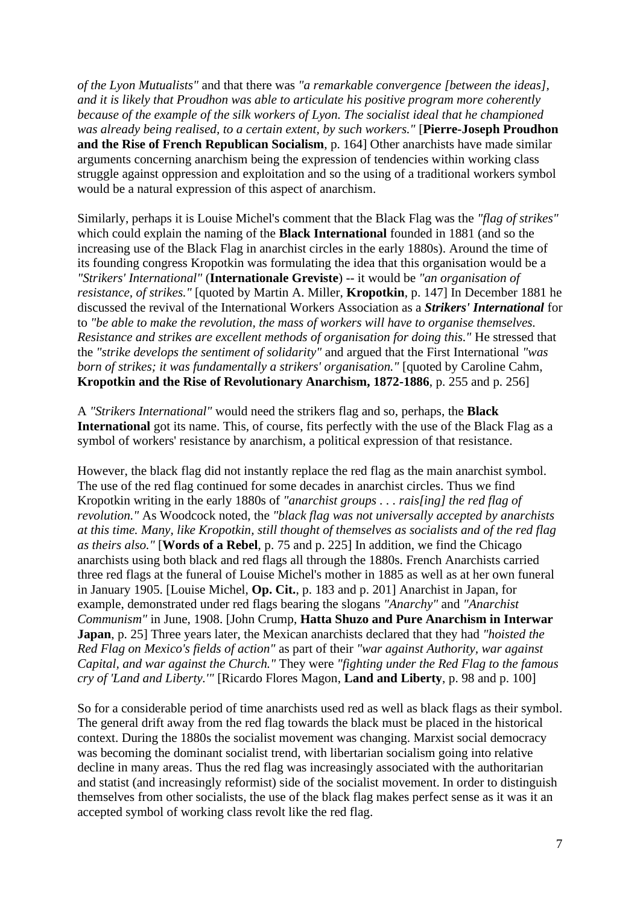*of the Lyon Mutualists"* and that there was *"a remarkable convergence [between the ideas], and it is likely that Proudhon was able to articulate his positive program more coherently because of the example of the silk workers of Lyon. The socialist ideal that he championed was already being realised, to a certain extent, by such workers."* [**Pierre-Joseph Proudhon and the Rise of French Republican Socialism**, p. 164] Other anarchists have made similar arguments concerning anarchism being the expression of tendencies within working class struggle against oppression and exploitation and so the using of a traditional workers symbol would be a natural expression of this aspect of anarchism.

Similarly, perhaps it is Louise Michel's comment that the Black Flag was the *"flag of strikes"* which could explain the naming of the **Black International** founded in 1881 (and so the increasing use of the Black Flag in anarchist circles in the early 1880s). Around the time of its founding congress Kropotkin was formulating the idea that this organisation would be a *"Strikers' International"* (**Internationale Greviste**) -- it would be *"an organisation of resistance, of strikes."* [quoted by Martin A. Miller, **Kropotkin**, p. 147] In December 1881 he discussed the revival of the International Workers Association as a *Strikers' International* for to *"be able to make the revolution, the mass of workers will have to organise themselves. Resistance and strikes are excellent methods of organisation for doing this."* He stressed that the *"strike develops the sentiment of solidarity"* and argued that the First International *"was born of strikes; it was fundamentally a strikers' organisation."* [quoted by Caroline Cahm, **Kropotkin and the Rise of Revolutionary Anarchism, 1872-1886**, p. 255 and p. 256]

A *"Strikers International"* would need the strikers flag and so, perhaps, the **Black International** got its name. This, of course, fits perfectly with the use of the Black Flag as a symbol of workers' resistance by anarchism, a political expression of that resistance.

However, the black flag did not instantly replace the red flag as the main anarchist symbol. The use of the red flag continued for some decades in anarchist circles. Thus we find Kropotkin writing in the early 1880s of *"anarchist groups . . . rais[ing] the red flag of revolution."* As Woodcock noted, the *"black flag was not universally accepted by anarchists at this time. Many, like Kropotkin, still thought of themselves as socialists and of the red flag as theirs also."* [**Words of a Rebel**, p. 75 and p. 225] In addition, we find the Chicago anarchists using both black and red flags all through the 1880s. French Anarchists carried three red flags at the funeral of Louise Michel's mother in 1885 as well as at her own funeral in January 1905. [Louise Michel, **Op. Cit.**, p. 183 and p. 201] Anarchist in Japan, for example, demonstrated under red flags bearing the slogans *"Anarchy"* and *"Anarchist Communism"* in June, 1908. [John Crump, **Hatta Shuzo and Pure Anarchism in Interwar Japan**, p. 25] Three years later, the Mexican anarchists declared that they had *"hoisted the Red Flag on Mexico's fields of action"* as part of their *"war against Authority, war against Capital, and war against the Church."* They were *"fighting under the Red Flag to the famous cry of 'Land and Liberty.'"* [Ricardo Flores Magon, **Land and Liberty**, p. 98 and p. 100]

So for a considerable period of time anarchists used red as well as black flags as their symbol. The general drift away from the red flag towards the black must be placed in the historical context. During the 1880s the socialist movement was changing. Marxist social democracy was becoming the dominant socialist trend, with libertarian socialism going into relative decline in many areas. Thus the red flag was increasingly associated with the authoritarian and statist (and increasingly reformist) side of the socialist movement. In order to distinguish themselves from other socialists, the use of the black flag makes perfect sense as it was it an accepted symbol of working class revolt like the red flag.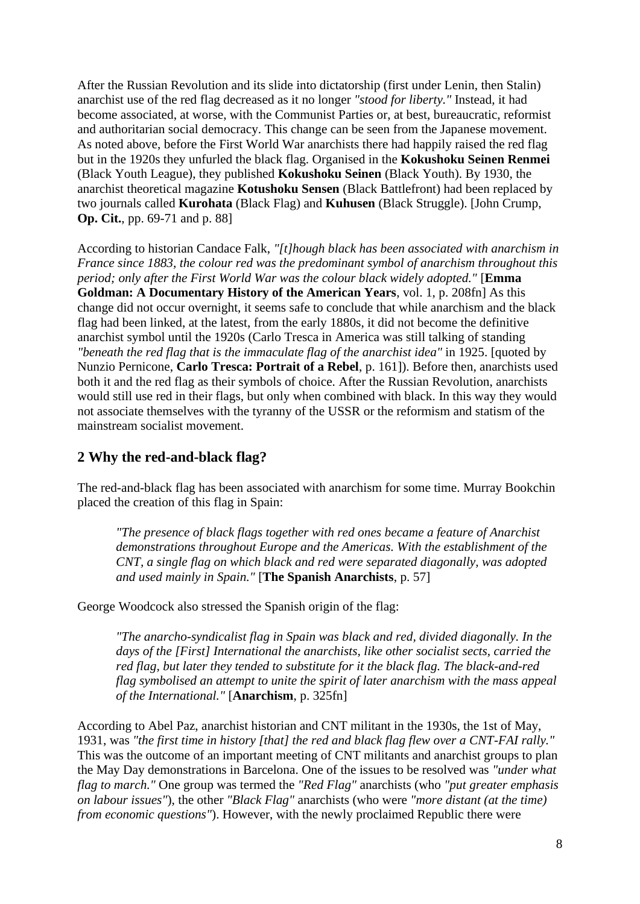After the Russian Revolution and its slide into dictatorship (first under Lenin, then Stalin) anarchist use of the red flag decreased as it no longer *"stood for liberty."* Instead, it had become associated, at worse, with the Communist Parties or, at best, bureaucratic, reformist and authoritarian social democracy. This change can be seen from the Japanese movement. As noted above, before the First World War anarchists there had happily raised the red flag but in the 1920s they unfurled the black flag. Organised in the **Kokushoku Seinen Renmei** (Black Youth League), they published **Kokushoku Seinen** (Black Youth). By 1930, the anarchist theoretical magazine **Kotushoku Sensen** (Black Battlefront) had been replaced by two journals called **Kurohata** (Black Flag) and **Kuhusen** (Black Struggle). [John Crump, **Op. Cit.**, pp. 69-71 and p. 88]

According to historian Candace Falk, *"[t]hough black has been associated with anarchism in France since 1883, the colour red was the predominant symbol of anarchism throughout this period; only after the First World War was the colour black widely adopted."* [**Emma Goldman: A Documentary History of the American Years**, vol. 1, p. 208fn] As this change did not occur overnight, it seems safe to conclude that while anarchism and the black flag had been linked, at the latest, from the early 1880s, it did not become the definitive anarchist symbol until the 1920s (Carlo Tresca in America was still talking of standing *"beneath the red flag that is the immaculate flag of the anarchist idea"* in 1925. [quoted by Nunzio Pernicone, **Carlo Tresca: Portrait of a Rebel**, p. 161]). Before then, anarchists used both it and the red flag as their symbols of choice. After the Russian Revolution, anarchists would still use red in their flags, but only when combined with black. In this way they would not associate themselves with the tyranny of the USSR or the reformism and statism of the mainstream socialist movement.

#### <span id="page-7-0"></span>**2 Why the red-and-black flag?**

The red-and-black flag has been associated with anarchism for some time. Murray Bookchin placed the creation of this flag in Spain:

*"The presence of black flags together with red ones became a feature of Anarchist demonstrations throughout Europe and the Americas. With the establishment of the CNT, a single flag on which black and red were separated diagonally, was adopted and used mainly in Spain."* [**The Spanish Anarchists**, p. 57]

George Woodcock also stressed the Spanish origin of the flag:

*"The anarcho-syndicalist flag in Spain was black and red, divided diagonally. In the days of the [First] International the anarchists, like other socialist sects, carried the red flag, but later they tended to substitute for it the black flag. The black-and-red flag symbolised an attempt to unite the spirit of later anarchism with the mass appeal of the International."* [**Anarchism**, p. 325fn]

According to Abel Paz, anarchist historian and CNT militant in the 1930s, the 1st of May, 1931, was *"the first time in history [that] the red and black flag flew over a CNT-FAI rally."* This was the outcome of an important meeting of CNT militants and anarchist groups to plan the May Day demonstrations in Barcelona. One of the issues to be resolved was *"under what flag to march."* One group was termed the *"Red Flag"* anarchists (who *"put greater emphasis on labour issues"*), the other *"Black Flag"* anarchists (who were *"more distant (at the time) from economic questions"*). However, with the newly proclaimed Republic there were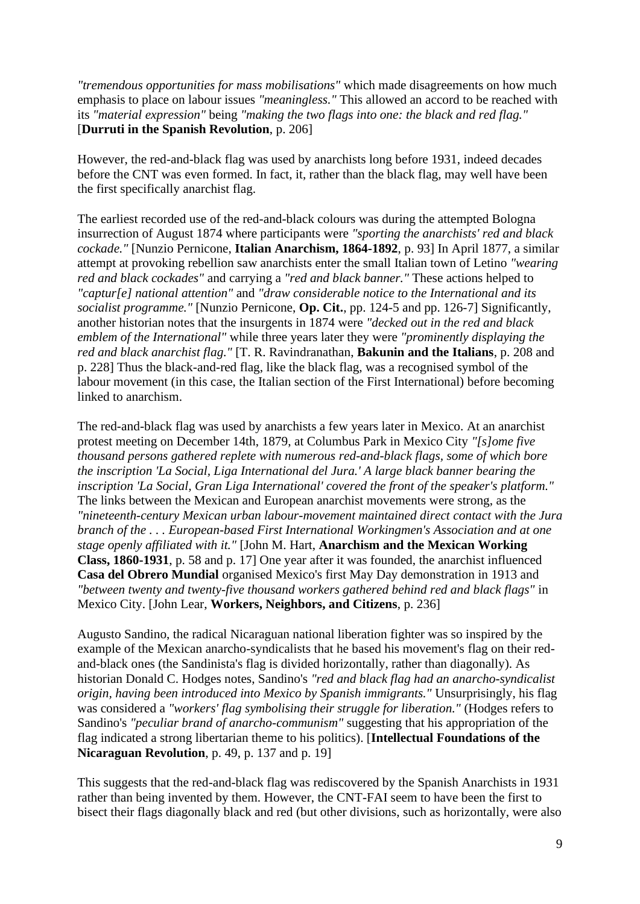*"tremendous opportunities for mass mobilisations"* which made disagreements on how much emphasis to place on labour issues *"meaningless."* This allowed an accord to be reached with its *"material expression"* being *"making the two flags into one: the black and red flag."* [**Durruti in the Spanish Revolution**, p. 206]

However, the red-and-black flag was used by anarchists long before 1931, indeed decades before the CNT was even formed. In fact, it, rather than the black flag, may well have been the first specifically anarchist flag.

The earliest recorded use of the red-and-black colours was during the attempted Bologna insurrection of August 1874 where participants were *"sporting the anarchists' red and black cockade."* [Nunzio Pernicone, **Italian Anarchism, 1864-1892**, p. 93] In April 1877, a similar attempt at provoking rebellion saw anarchists enter the small Italian town of Letino *"wearing red and black cockades"* and carrying a *"red and black banner."* These actions helped to *"captur[e] national attention"* and *"draw considerable notice to the International and its socialist programme."* [Nunzio Pernicone, **Op. Cit.**, pp. 124-5 and pp. 126-7] Significantly, another historian notes that the insurgents in 1874 were *"decked out in the red and black emblem of the International"* while three years later they were *"prominently displaying the red and black anarchist flag."* [T. R. Ravindranathan, **Bakunin and the Italians**, p. 208 and p. 228] Thus the black-and-red flag, like the black flag, was a recognised symbol of the labour movement (in this case, the Italian section of the First International) before becoming linked to anarchism.

The red-and-black flag was used by anarchists a few years later in Mexico. At an anarchist protest meeting on December 14th, 1879, at Columbus Park in Mexico City *"[s]ome five thousand persons gathered replete with numerous red-and-black flags, some of which bore the inscription 'La Social, Liga International del Jura.' A large black banner bearing the inscription 'La Social, Gran Liga International' covered the front of the speaker's platform."* The links between the Mexican and European anarchist movements were strong, as the *"nineteenth-century Mexican urban labour-movement maintained direct contact with the Jura branch of the . . . European-based First International Workingmen's Association and at one stage openly affiliated with it."* [John M. Hart, **Anarchism and the Mexican Working Class, 1860-1931**, p. 58 and p. 17] One year after it was founded, the anarchist influenced **Casa del Obrero Mundial** organised Mexico's first May Day demonstration in 1913 and *"between twenty and twenty-five thousand workers gathered behind red and black flags"* in Mexico City. [John Lear, **Workers, Neighbors, and Citizens**, p. 236]

Augusto Sandino, the radical Nicaraguan national liberation fighter was so inspired by the example of the Mexican anarcho-syndicalists that he based his movement's flag on their redand-black ones (the Sandinista's flag is divided horizontally, rather than diagonally). As historian Donald C. Hodges notes, Sandino's *"red and black flag had an anarcho-syndicalist origin, having been introduced into Mexico by Spanish immigrants."* Unsurprisingly, his flag was considered a *"workers' flag symbolising their struggle for liberation."* (Hodges refers to Sandino's *"peculiar brand of anarcho-communism"* suggesting that his appropriation of the flag indicated a strong libertarian theme to his politics). [**Intellectual Foundations of the Nicaraguan Revolution**, p. 49, p. 137 and p. 19]

This suggests that the red-and-black flag was rediscovered by the Spanish Anarchists in 1931 rather than being invented by them. However, the CNT-FAI seem to have been the first to bisect their flags diagonally black and red (but other divisions, such as horizontally, were also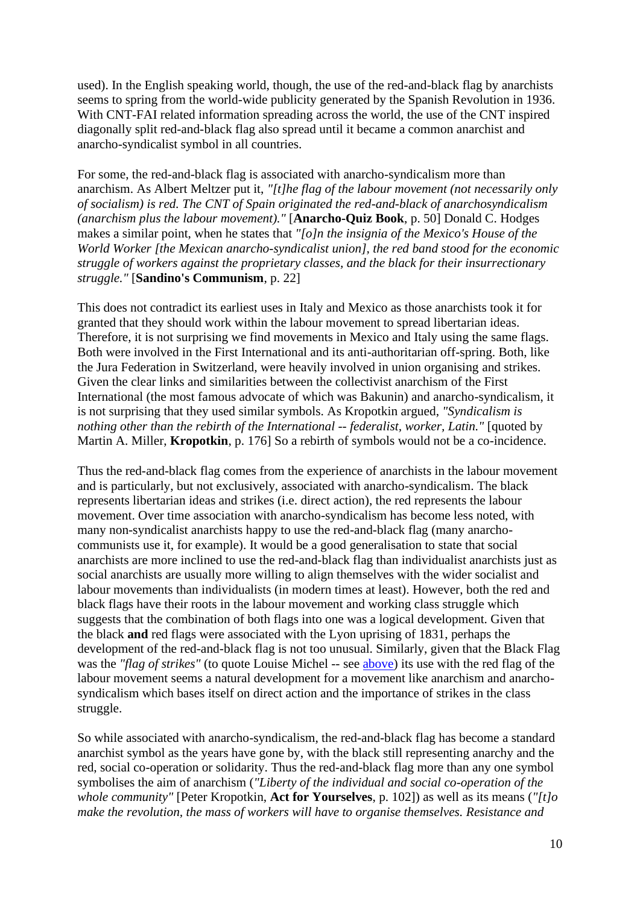used). In the English speaking world, though, the use of the red-and-black flag by anarchists seems to spring from the world-wide publicity generated by the Spanish Revolution in 1936. With CNT-FAI related information spreading across the world, the use of the CNT inspired diagonally split red-and-black flag also spread until it became a common anarchist and anarcho-syndicalist symbol in all countries.

For some, the red-and-black flag is associated with anarcho-syndicalism more than anarchism. As Albert Meltzer put it, *"[t]he flag of the labour movement (not necessarily only of socialism) is red. The CNT of Spain originated the red-and-black of anarchosyndicalism (anarchism plus the labour movement)."* [**Anarcho-Quiz Book**, p. 50] Donald C. Hodges makes a similar point, when he states that *"[o]n the insignia of the Mexico's House of the World Worker [the Mexican anarcho-syndicalist union], the red band stood for the economic struggle of workers against the proprietary classes, and the black for their insurrectionary struggle."* [**Sandino's Communism**, p. 22]

This does not contradict its earliest uses in Italy and Mexico as those anarchists took it for granted that they should work within the labour movement to spread libertarian ideas. Therefore, it is not surprising we find movements in Mexico and Italy using the same flags. Both were involved in the First International and its anti-authoritarian off-spring. Both, like the Jura Federation in Switzerland, were heavily involved in union organising and strikes. Given the clear links and similarities between the collectivist anarchism of the First International (the most famous advocate of which was Bakunin) and anarcho-syndicalism, it is not surprising that they used similar symbols. As Kropotkin argued, *"Syndicalism is nothing other than the rebirth of the International -- federalist, worker, Latin."* [quoted by Martin A. Miller, **Kropotkin**, p. 176] So a rebirth of symbols would not be a co-incidence.

Thus the red-and-black flag comes from the experience of anarchists in the labour movement and is particularly, but not exclusively, associated with anarcho-syndicalism. The black represents libertarian ideas and strikes (i.e. direct action), the red represents the labour movement. Over time association with anarcho-syndicalism has become less noted, with many non-syndicalist anarchists happy to use the red-and-black flag (many anarchocommunists use it, for example). It would be a good generalisation to state that social anarchists are more inclined to use the red-and-black flag than individualist anarchists just as social anarchists are usually more willing to align themselves with the wider socialist and labour movements than individualists (in modern times at least). However, both the red and black flags have their roots in the labour movement and working class struggle which suggests that the combination of both flags into one was a logical development. Given that the black **and** red flags were associated with the Lyon uprising of 1831, perhaps the development of the red-and-black flag is not too unusual. Similarly, given that the Black Flag was the *"flag of strikes"* (to quote Louise Michel -- see [above\)](append2.html#black) its use with the red flag of the labour movement seems a natural development for a movement like anarchism and anarchosyndicalism which bases itself on direct action and the importance of strikes in the class struggle.

So while associated with anarcho-syndicalism, the red-and-black flag has become a standard anarchist symbol as the years have gone by, with the black still representing anarchy and the red, social co-operation or solidarity. Thus the red-and-black flag more than any one symbol symbolises the aim of anarchism (*"Liberty of the individual and social co-operation of the whole community"* [Peter Kropotkin, **Act for Yourselves**, p. 102]) as well as its means (*"[t]o make the revolution, the mass of workers will have to organise themselves. Resistance and*